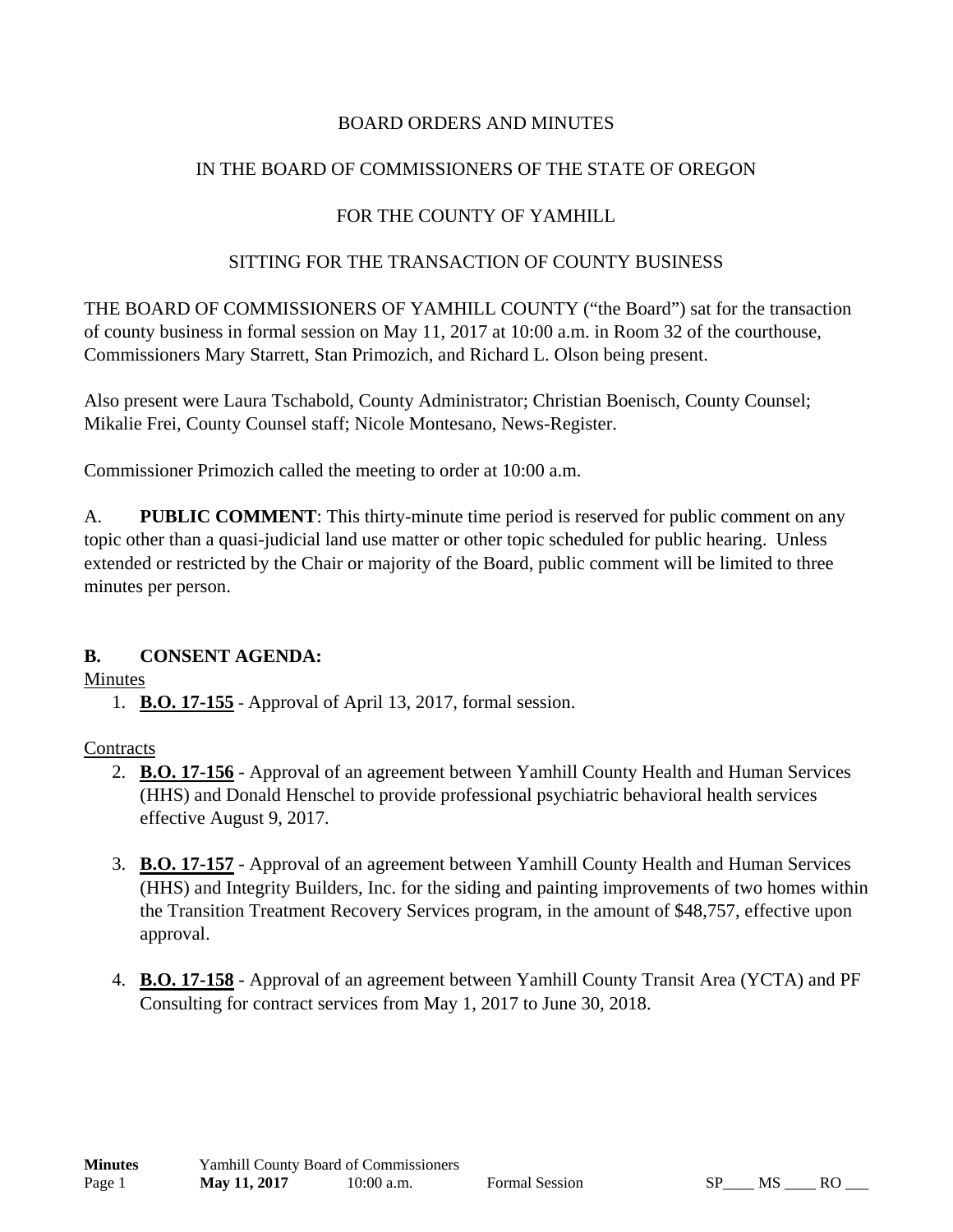# BOARD ORDERS AND MINUTES

# IN THE BOARD OF COMMISSIONERS OF THE STATE OF OREGON

# FOR THE COUNTY OF YAMHILL

## SITTING FOR THE TRANSACTION OF COUNTY BUSINESS

THE BOARD OF COMMISSIONERS OF YAMHILL COUNTY ("the Board") sat for the transaction of county business in formal session on May 11, 2017 at 10:00 a.m. in Room 32 of the courthouse, Commissioners Mary Starrett, Stan Primozich, and Richard L. Olson being present.

Also present were Laura Tschabold, County Administrator; Christian Boenisch, County Counsel; Mikalie Frei, County Counsel staff; Nicole Montesano, News-Register.

Commissioner Primozich called the meeting to order at 10:00 a.m.

A. **PUBLIC COMMENT**: This thirty-minute time period is reserved for public comment on any topic other than a quasi-judicial land use matter or other topic scheduled for public hearing. Unless extended or restricted by the Chair or majority of the Board, public comment will be limited to three minutes per person.

# **B. CONSENT AGENDA:**

### **Minutes**

1. **B.O. 17-155** - Approval of April 13, 2017, formal session.

### **Contracts**

- 2. **B.O. 17-156** Approval of an agreement between Yamhill County Health and Human Services (HHS) and Donald Henschel to provide professional psychiatric behavioral health services effective August 9, 2017.
- 3. **B.O. 17-157** Approval of an agreement between Yamhill County Health and Human Services (HHS) and Integrity Builders, Inc. for the siding and painting improvements of two homes within the Transition Treatment Recovery Services program, in the amount of \$48,757, effective upon approval.
- 4. **B.O. 17-158** Approval of an agreement between Yamhill County Transit Area (YCTA) and PF Consulting for contract services from May 1, 2017 to June 30, 2018.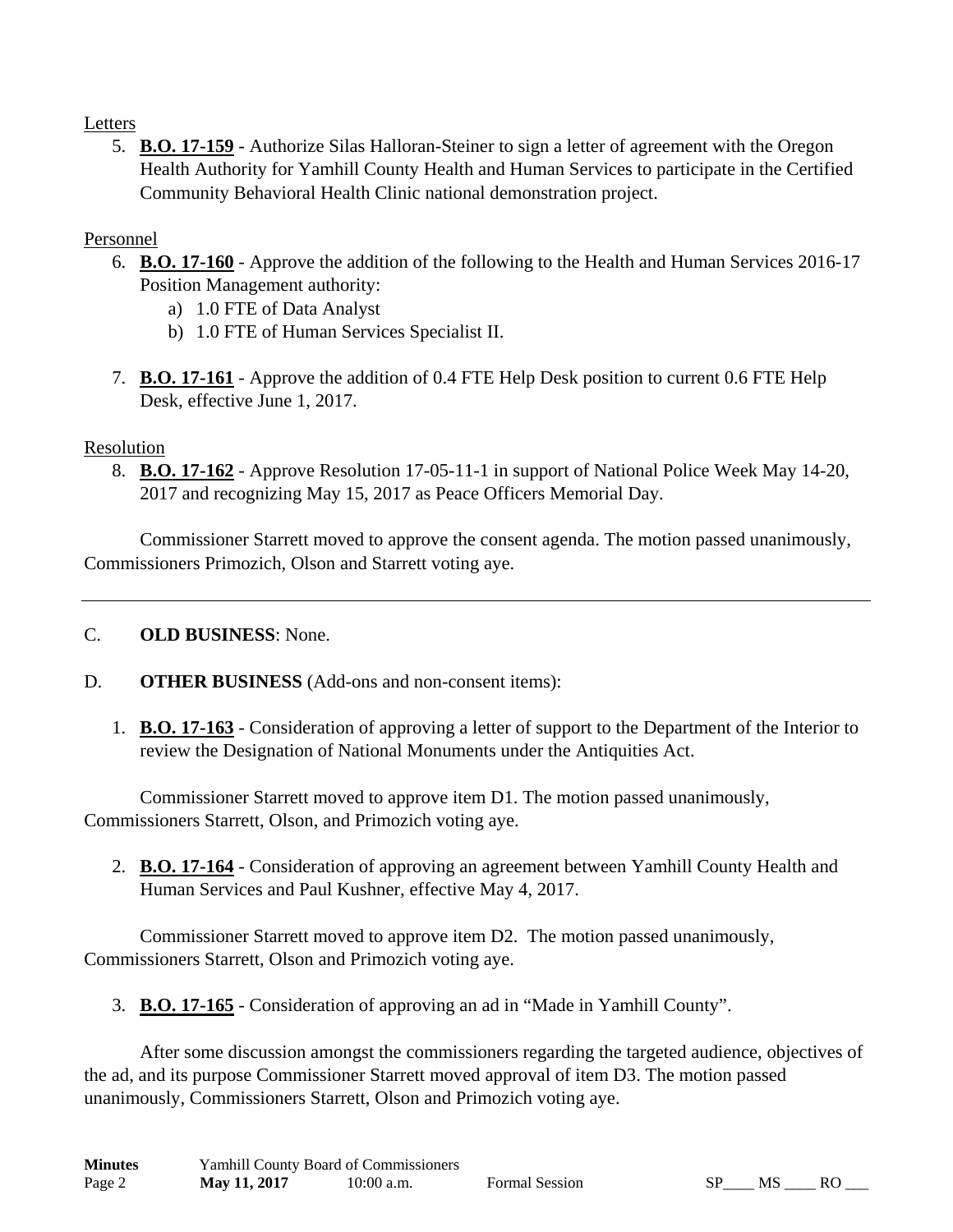# Letters

5. **B.O. 17-159** - Authorize Silas Halloran-Steiner to sign a letter of agreement with the Oregon Health Authority for Yamhill County Health and Human Services to participate in the Certified Community Behavioral Health Clinic national demonstration project.

# Personnel

- 6. **B.O. 17-160** Approve the addition of the following to the Health and Human Services 2016-17 Position Management authority:
	- a) 1.0 FTE of Data Analyst
	- b) 1.0 FTE of Human Services Specialist II.
- 7. **B.O. 17-161** Approve the addition of 0.4 FTE Help Desk position to current 0.6 FTE Help Desk, effective June 1, 2017.

# Resolution

8. **B.O. 17-162** - Approve Resolution 17-05-11-1 in support of National Police Week May 14-20, 2017 and recognizing May 15, 2017 as Peace Officers Memorial Day.

 Commissioner Starrett moved to approve the consent agenda. The motion passed unanimously, Commissioners Primozich, Olson and Starrett voting aye.

### C. **OLD BUSINESS**: None.

- D. **OTHER BUSINESS** (Add-ons and non-consent items):
	- 1. **B.O. 17-163** Consideration of approving a letter of support to the Department of the Interior to review the Designation of National Monuments under the Antiquities Act.

 Commissioner Starrett moved to approve item D1. The motion passed unanimously, Commissioners Starrett, Olson, and Primozich voting aye.

2. **B.O. 17-164** - Consideration of approving an agreement between Yamhill County Health and Human Services and Paul Kushner, effective May 4, 2017.

 Commissioner Starrett moved to approve item D2. The motion passed unanimously, Commissioners Starrett, Olson and Primozich voting aye.

3. **B.O. 17-165** - Consideration of approving an ad in "Made in Yamhill County".

 After some discussion amongst the commissioners regarding the targeted audience, objectives of the ad, and its purpose Commissioner Starrett moved approval of item D3. The motion passed unanimously, Commissioners Starrett, Olson and Primozich voting aye.